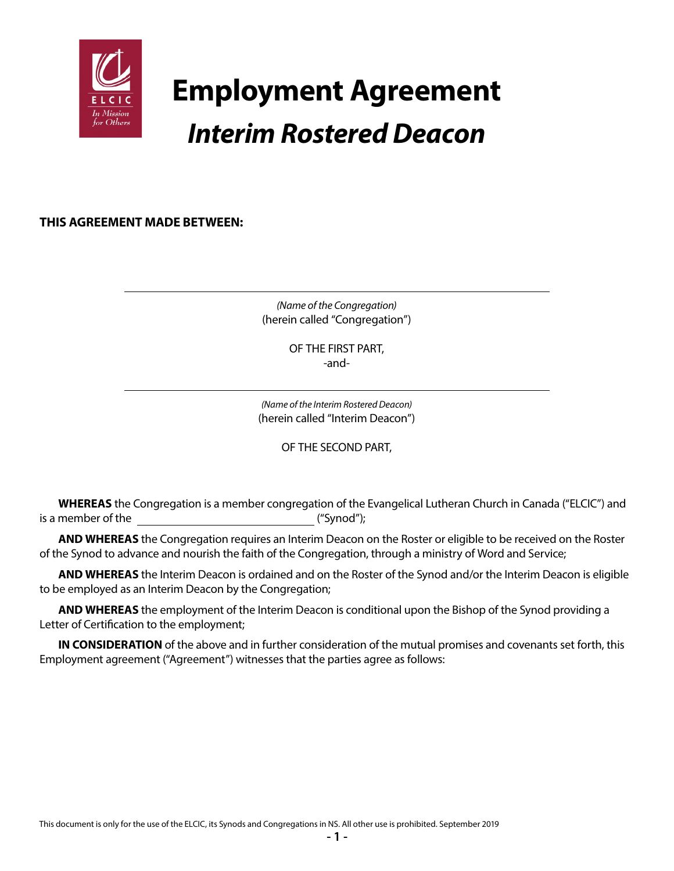

# **Employment Agreement** *Interim Rostered Deacon*

**THIS AGREEMENT MADE BETWEEN:**

*(Name of the Congregation)* (herein called "Congregation")

> OF THE FIRST PART, -and-

*(Name of the Interim Rostered Deacon)* (herein called "Interim Deacon")

OF THE SECOND PART,

**WHEREAS** the Congregation is a member congregation of the Evangelical Lutheran Church in Canada ("ELCIC") and is a member of the  $($ "Synod");

**AND WHEREAS** the Congregation requires an Interim Deacon on the Roster or eligible to be received on the Roster of the Synod to advance and nourish the faith of the Congregation, through a ministry of Word and Service;

**AND WHEREAS** the Interim Deacon is ordained and on the Roster of the Synod and/or the Interim Deacon is eligible to be employed as an Interim Deacon by the Congregation;

**AND WHEREAS** the employment of the Interim Deacon is conditional upon the Bishop of the Synod providing a Letter of Certification to the employment;

**IN CONSIDERATION** of the above and in further consideration of the mutual promises and covenants set forth, this Employment agreement ("Agreement") witnesses that the parties agree as follows: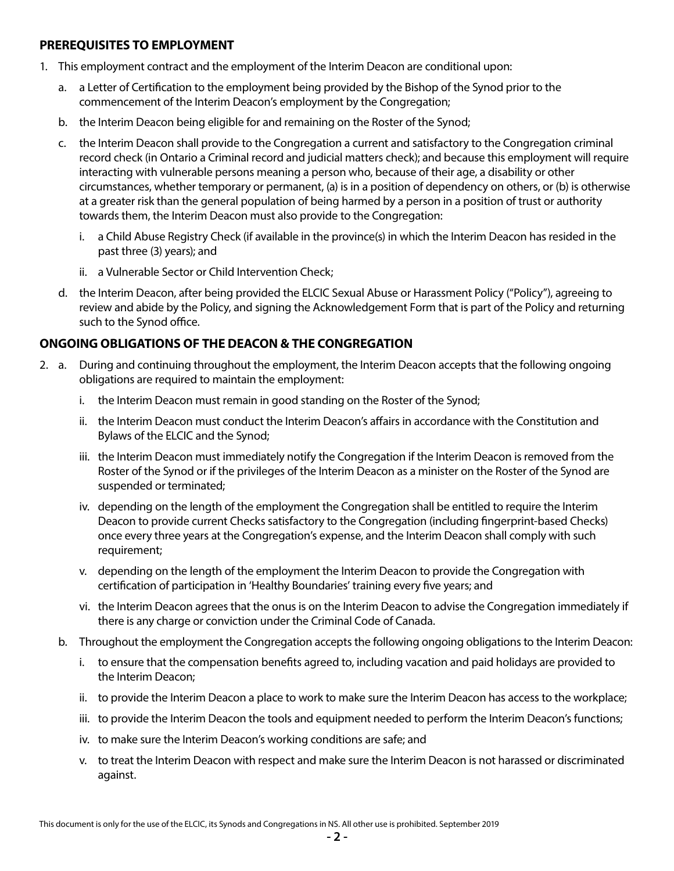#### **PREREQUISITES TO EMPLOYMENT**

- 1. This employment contract and the employment of the Interim Deacon are conditional upon:
	- a. a Letter of Certification to the employment being provided by the Bishop of the Synod prior to the commencement of the Interim Deacon's employment by the Congregation;
	- b. the Interim Deacon being eligible for and remaining on the Roster of the Synod;
	- c. the Interim Deacon shall provide to the Congregation a current and satisfactory to the Congregation criminal record check (in Ontario a Criminal record and judicial matters check); and because this employment will require interacting with vulnerable persons meaning a person who, because of their age, a disability or other circumstances, whether temporary or permanent, (a) is in a position of dependency on others, or (b) is otherwise at a greater risk than the general population of being harmed by a person in a position of trust or authority towards them, the Interim Deacon must also provide to the Congregation:
		- i. a Child Abuse Registry Check (if available in the province(s) in which the Interim Deacon has resided in the past three (3) years); and
		- ii. a Vulnerable Sector or Child Intervention Check;
	- d. the Interim Deacon, after being provided the ELCIC Sexual Abuse or Harassment Policy ("Policy"), agreeing to review and abide by the Policy, and signing the Acknowledgement Form that is part of the Policy and returning such to the Synod office.

## **ONGOING OBLIGATIONS OF THE DEACON & THE CONGREGATION**

- 2. a. During and continuing throughout the employment, the Interim Deacon accepts that the following ongoing obligations are required to maintain the employment:
	- i. the Interim Deacon must remain in good standing on the Roster of the Synod;
	- ii. the Interim Deacon must conduct the Interim Deacon's affairs in accordance with the Constitution and Bylaws of the ELCIC and the Synod;
	- iii. the Interim Deacon must immediately notify the Congregation if the Interim Deacon is removed from the Roster of the Synod or if the privileges of the Interim Deacon as a minister on the Roster of the Synod are suspended or terminated;
	- iv. depending on the length of the employment the Congregation shall be entitled to require the Interim Deacon to provide current Checks satisfactory to the Congregation (including fingerprint-based Checks) once every three years at the Congregation's expense, and the Interim Deacon shall comply with such requirement;
	- v. depending on the length of the employment the Interim Deacon to provide the Congregation with certification of participation in 'Healthy Boundaries' training every five years; and
	- vi. the Interim Deacon agrees that the onus is on the Interim Deacon to advise the Congregation immediately if there is any charge or conviction under the Criminal Code of Canada.
	- b. Throughout the employment the Congregation accepts the following ongoing obligations to the Interim Deacon:
		- i. to ensure that the compensation benefits agreed to, including vacation and paid holidays are provided to the Interim Deacon;
		- ii. to provide the Interim Deacon a place to work to make sure the Interim Deacon has access to the workplace;
		- iii. to provide the Interim Deacon the tools and equipment needed to perform the Interim Deacon's functions;
		- iv. to make sure the Interim Deacon's working conditions are safe; and
		- v. to treat the Interim Deacon with respect and make sure the Interim Deacon is not harassed or discriminated against.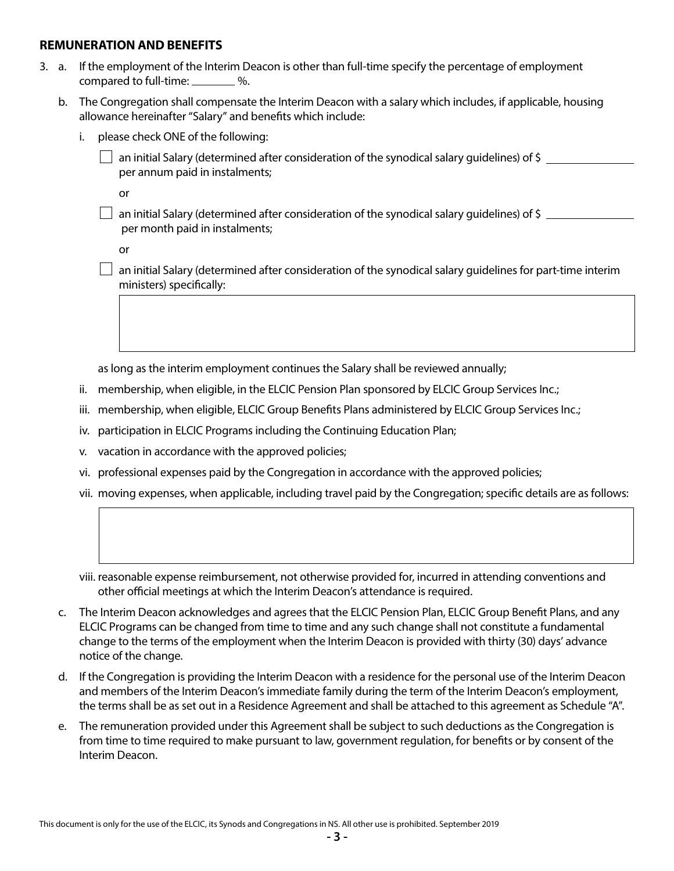#### **REMUNERATION AND BENEFITS**

- 3. a. If the employment of the Interim Deacon is other than full-time specify the percentage of employment compared to full-time: %.
	- b. The Congregation shall compensate the Interim Deacon with a salary which includes, if applicable, housing allowance hereinafter "Salary" and benefits which include:
		- i. please check ONE of the following:
			- an initial Salary (determined after consideration of the synodical salary guidelines) of \$ per annum paid in instalments;

or

 an initial Salary (determined after consideration of the synodical salary guidelines) of \$ per month paid in instalments;

or

 $\Box$  an initial Salary (determined after consideration of the synodical salary guidelines for part-time interim ministers) specifically:

as long as the interim employment continues the Salary shall be reviewed annually;

- ii. membership, when eligible, in the ELCIC Pension Plan sponsored by ELCIC Group Services Inc.;
- iii. membership, when eligible, ELCIC Group Benefits Plans administered by ELCIC Group Services Inc.;
- iv. participation in ELCIC Programs including the Continuing Education Plan;
- v. vacation in accordance with the approved policies;
- vi. professional expenses paid by the Congregation in accordance with the approved policies;
- vii. moving expenses, when applicable, including travel paid by the Congregation; specific details are as follows:
- viii. reasonable expense reimbursement, not otherwise provided for, incurred in attending conventions and other official meetings at which the Interim Deacon's attendance is required.
- c. The Interim Deacon acknowledges and agrees that the ELCIC Pension Plan, ELCIC Group Benefit Plans, and any ELCIC Programs can be changed from time to time and any such change shall not constitute a fundamental change to the terms of the employment when the Interim Deacon is provided with thirty (30) days' advance notice of the change.
- d. If the Congregation is providing the Interim Deacon with a residence for the personal use of the Interim Deacon and members of the Interim Deacon's immediate family during the term of the Interim Deacon's employment, the terms shall be as set out in a Residence Agreement and shall be attached to this agreement as Schedule "A".
- e. The remuneration provided under this Agreement shall be subject to such deductions as the Congregation is from time to time required to make pursuant to law, government regulation, for benefits or by consent of the Interim Deacon.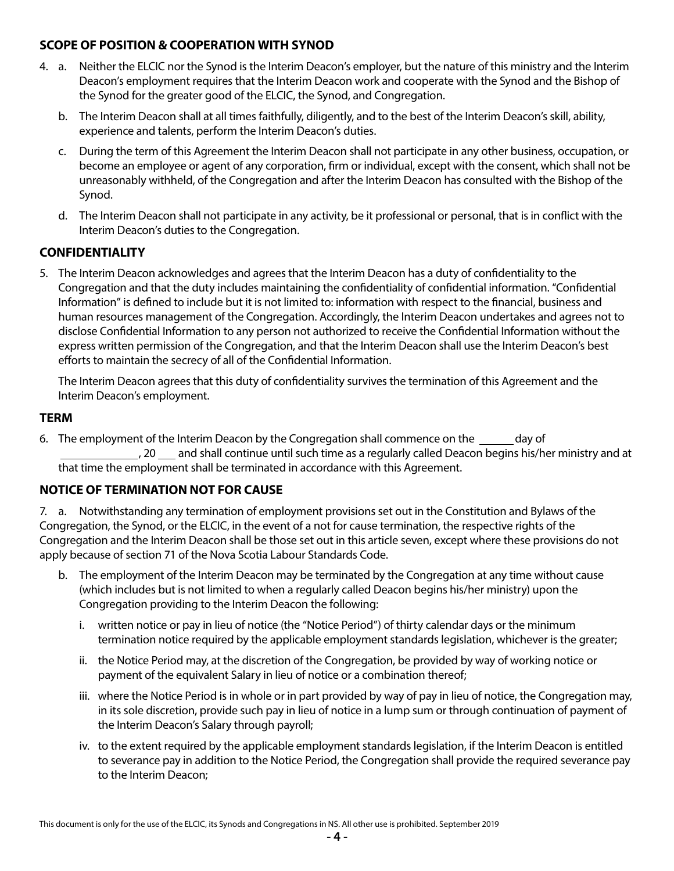## **SCOPE OF POSITION & COOPERATION WITH SYNOD**

- 4. a. Neither the ELCIC nor the Synod is the Interim Deacon's employer, but the nature of this ministry and the Interim Deacon's employment requires that the Interim Deacon work and cooperate with the Synod and the Bishop of the Synod for the greater good of the ELCIC, the Synod, and Congregation.
	- b. The Interim Deacon shall at all times faithfully, diligently, and to the best of the Interim Deacon's skill, ability, experience and talents, perform the Interim Deacon's duties.
	- c. During the term of this Agreement the Interim Deacon shall not participate in any other business, occupation, or become an employee or agent of any corporation, firm or individual, except with the consent, which shall not be unreasonably withheld, of the Congregation and after the Interim Deacon has consulted with the Bishop of the Synod.
	- d. The Interim Deacon shall not participate in any activity, be it professional or personal, that is in conflict with the Interim Deacon's duties to the Congregation.

# **CONFIDENTIALITY**

5. The Interim Deacon acknowledges and agrees that the Interim Deacon has a duty of confidentiality to the Congregation and that the duty includes maintaining the confidentiality of confidential information. "Confidential Information" is defined to include but it is not limited to: information with respect to the financial, business and human resources management of the Congregation. Accordingly, the Interim Deacon undertakes and agrees not to disclose Confidential Information to any person not authorized to receive the Confidential Information without the express written permission of the Congregation, and that the Interim Deacon shall use the Interim Deacon's best efforts to maintain the secrecy of all of the Confidential Information.

The Interim Deacon agrees that this duty of confidentiality survives the termination of this Agreement and the Interim Deacon's employment.

#### **TERM**

6. The employment of the Interim Deacon by the Congregation shall commence on the day of ., 20  $\mu$  and shall continue until such time as a regularly called Deacon begins his/her ministry and at that time the employment shall be terminated in accordance with this Agreement.

## **NOTICE OF TERMINATION NOT FOR CAUSE**

7. a. Notwithstanding any termination of employment provisions set out in the Constitution and Bylaws of the Congregation, the Synod, or the ELCIC, in the event of a not for cause termination, the respective rights of the Congregation and the Interim Deacon shall be those set out in this article seven, except where these provisions do not apply because of section 71 of the Nova Scotia Labour Standards Code.

- b. The employment of the Interim Deacon may be terminated by the Congregation at any time without cause (which includes but is not limited to when a regularly called Deacon begins his/her ministry) upon the Congregation providing to the Interim Deacon the following:
	- i. written notice or pay in lieu of notice (the "Notice Period") of thirty calendar days or the minimum termination notice required by the applicable employment standards legislation, whichever is the greater;
	- ii. the Notice Period may, at the discretion of the Congregation, be provided by way of working notice or payment of the equivalent Salary in lieu of notice or a combination thereof;
	- iii. where the Notice Period is in whole or in part provided by way of pay in lieu of notice, the Congregation may, in its sole discretion, provide such pay in lieu of notice in a lump sum or through continuation of payment of the Interim Deacon's Salary through payroll;
	- iv. to the extent required by the applicable employment standards legislation, if the Interim Deacon is entitled to severance pay in addition to the Notice Period, the Congregation shall provide the required severance pay to the Interim Deacon;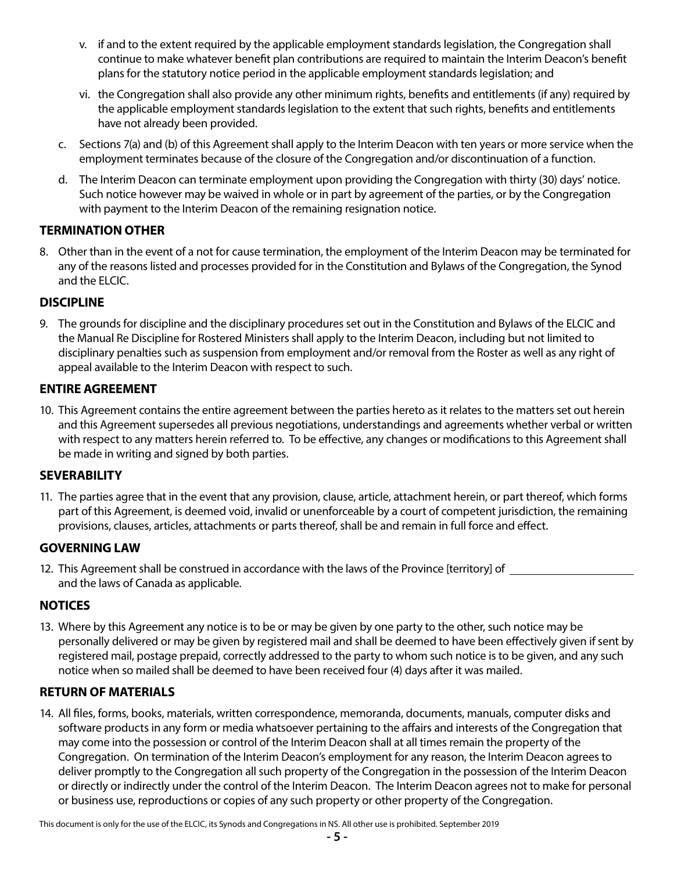- v. if and to the extent required by the applicable employment standards legislation, the Congregation shall continue to make whatever benefit plan contributions are required to maintain the Interim Deacon's benefit plans for the statutory notice period in the applicable employment standards legislation; and
- vi. the Congregation shall also provide any other minimum rights, benefits and entitlements (if any) required by the applicable employment standards legislation to the extent that such rights, benefits and entitlements have not already been provided.
- c. Sections 7(a) and (b) of this Agreement shall apply to the Interim Deacon with ten years or more service when the employment terminates because of the closure of the Congregation and/or discontinuation of a function.
- d. The Interim Deacon can terminate employment upon providing the Congregation with thirty (30) days' notice. Such notice however may be waived in whole or in part by agreement of the parties, or by the Congregation with payment to the Interim Deacon of the remaining resignation notice.

# **TERMINATION OTHER**

8. Other than in the event of a not for cause termination, the employment of the Interim Deacon may be terminated for any of the reasons listed and processes provided for in the Constitution and Bylaws of the Congregation, the Synod and the ELCIC.

# **DISCIPLINE**

9. The grounds for discipline and the disciplinary procedures set out in the Constitution and Bylaws of the ELCIC and the Manual Re Discipline for Rostered Ministers shall apply to the Interim Deacon, including but not limited to disciplinary penalties such as suspension from employment and/or removal from the Roster as well as any right of appeal available to the Interim Deacon with respect to such.

## **ENTIRE AGREEMENT**

10. This Agreement contains the entire agreement between the parties hereto as it relates to the matters set out herein and this Agreement supersedes all previous negotiations, understandings and agreements whether verbal or written with respect to any matters herein referred to. To be effective, any changes or modifications to this Agreement shall be made in writing and signed by both parties.

## **SEVERABILITY**

11. The parties agree that in the event that any provision, clause, article, attachment herein, or part thereof, which forms part of this Agreement, is deemed void, invalid or unenforceable by a court of competent jurisdiction, the remaining provisions, clauses, articles, attachments or parts thereof, shall be and remain in full force and effect.

## **GOVERNING LAW**

12. This Agreement shall be construed in accordance with the laws of the Province [territory] of and the laws of Canada as applicable.

# **NOTICES**

13. Where by this Agreement any notice is to be or may be given by one party to the other, such notice may be personally delivered or may be given by registered mail and shall be deemed to have been effectively given if sent by registered mail, postage prepaid, correctly addressed to the party to whom such notice is to be given, and any such notice when so mailed shall be deemed to have been received four (4) days after it was mailed.

## **RETURN OF MATERIALS**

14. All files, forms, books, materials, written correspondence, memoranda, documents, manuals, computer disks and software products in any form or media whatsoever pertaining to the affairs and interests of the Congregation that may come into the possession or control of the Interim Deacon shall at all times remain the property of the Congregation. On termination of the Interim Deacon's employment for any reason, the Interim Deacon agrees to deliver promptly to the Congregation all such property of the Congregation in the possession of the Interim Deacon or directly or indirectly under the control of the Interim Deacon. The Interim Deacon agrees not to make for personal or business use, reproductions or copies of any such property or other property of the Congregation.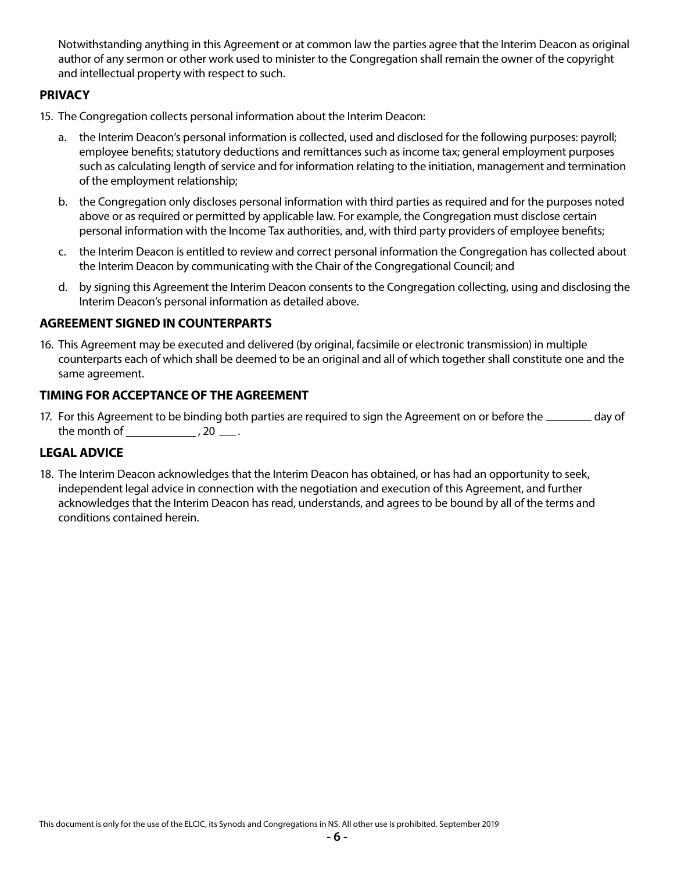Notwithstanding anything in this Agreement or at common law the parties agree that the Interim Deacon as original author of any sermon or other work used to minister to the Congregation shall remain the owner of the copyright and intellectual property with respect to such.

### **PRIVACY**

- 15. The Congregation collects personal information about the Interim Deacon:
	- a. the Interim Deacon's personal information is collected, used and disclosed for the following purposes: payroll; employee benefits; statutory deductions and remittances such as income tax; general employment purposes such as calculating length of service and for information relating to the initiation, management and termination of the employment relationship;
	- b. the Congregation only discloses personal information with third parties as required and for the purposes noted above or as required or permitted by applicable law. For example, the Congregation must disclose certain personal information with the Income Tax authorities, and, with third party providers of employee benefits;
	- c. the Interim Deacon is entitled to review and correct personal information the Congregation has collected about the Interim Deacon by communicating with the Chair of the Congregational Council; and
	- d. by signing this Agreement the Interim Deacon consents to the Congregation collecting, using and disclosing the Interim Deacon's personal information as detailed above.

#### **AGREEMENT SIGNED IN COUNTERPARTS**

16. This Agreement may be executed and delivered (by original, facsimile or electronic transmission) in multiple counterparts each of which shall be deemed to be an original and all of which together shall constitute one and the same agreement.

#### **TIMING FOR ACCEPTANCE OF THE AGREEMENT**

17. For this Agreement to be binding both parties are required to sign the Agreement on or before the \_\_\_\_\_\_\_ day of the month of  $\frac{1}{2}$ , 20  $\frac{1}{2}$ .

## **LEGAL ADVICE**

18. The Interim Deacon acknowledges that the Interim Deacon has obtained, or has had an opportunity to seek, independent legal advice in connection with the negotiation and execution of this Agreement, and further acknowledges that the Interim Deacon has read, understands, and agrees to be bound by all of the terms and conditions contained herein.